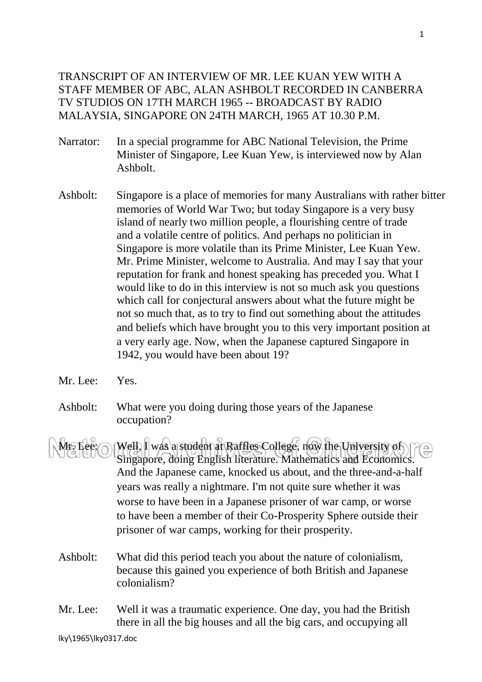## TRANSCRIPT OF AN INTERVIEW OF MR. LEE KUAN YEW WITH A STAFF MEMBER OF ABC, ALAN ASHBOLT RECORDED IN CANBERRA TV STUDIOS ON 17TH MARCH 1965 -- BROADCAST BY RADIO MALAYSIA, SINGAPORE ON 24TH MARCH, 1965 AT 10.30 P.M.

- Narrator: In a special programme for ABC National Television, the Prime Minister of Singapore, Lee Kuan Yew, is interviewed now by Alan Ashbolt.
- Ashbolt: Singapore is a place of memories for many Australians with rather bitter memories of World War Two; but today Singapore is a very busy island of nearly two million people, a flourishing centre of trade and a volatile centre of politics. And perhaps no politician in Singapore is more volatile than its Prime Minister, Lee Kuan Yew. Mr. Prime Minister, welcome to Australia. And may I say that your reputation for frank and honest speaking has preceded you. What I would like to do in this interview is not so much ask you questions which call for conjectural answers about what the future might be not so much that, as to try to find out something about the attitudes and beliefs which have brought you to this very important position at a very early age. Now, when the Japanese captured Singapore in 1942, you would have been about 19?
- Mr. Lee: Yes.
- Ashbolt: What were you doing during those years of the Japanese occupation?
- Mr. Lee:  $\bigcap$  Well, I was a student at Raffles College, now the University of  $\bigcap$ Singapore, doing English literature. Mathematics and Economics. And the Japanese came, knocked us about, and the three-and-a-half years was really a nightmare. I'm not quite sure whether it was worse to have been in a Japanese prisoner of war camp, or worse to have been a member of their Co-Prosperity Sphere outside their prisoner of war camps, working for their prosperity.
	- Ashbolt: What did this period teach you about the nature of colonialism, because this gained you experience of both British and Japanese colonialism?
	- Mr. Lee: Well it was a traumatic experience. One day, you had the British there in all the big houses and all the big cars, and occupying all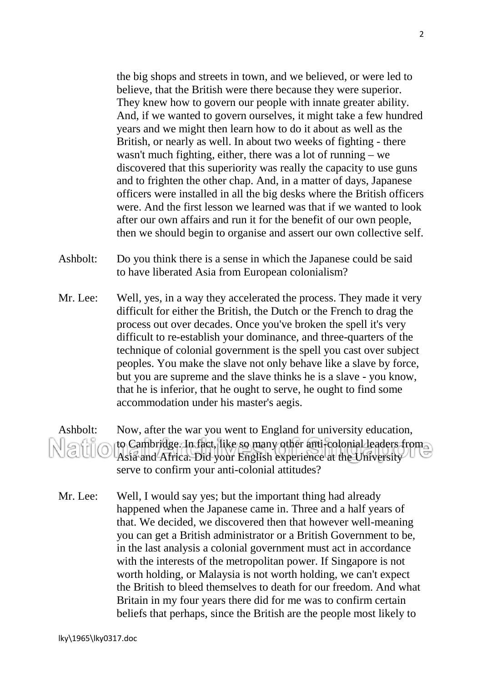the big shops and streets in town, and we believed, or were led to believe, that the British were there because they were superior. They knew how to govern our people with innate greater ability. And, if we wanted to govern ourselves, it might take a few hundred years and we might then learn how to do it about as well as the British, or nearly as well. In about two weeks of fighting - there wasn't much fighting, either, there was a lot of running – we discovered that this superiority was really the capacity to use guns and to frighten the other chap. And, in a matter of days, Japanese officers were installed in all the big desks where the British officers were. And the first lesson we learned was that if we wanted to look after our own affairs and run it for the benefit of our own people, then we should begin to organise and assert our own collective self.

- Ashbolt: Do you think there is a sense in which the Japanese could be said to have liberated Asia from European colonialism?
- Mr. Lee: Well, yes, in a way they accelerated the process. They made it very difficult for either the British, the Dutch or the French to drag the process out over decades. Once you've broken the spell it's very difficult to re-establish your dominance, and three-quarters of the technique of colonial government is the spell you cast over subject peoples. You make the slave not only behave like a slave by force, but you are supreme and the slave thinks he is a slave - you know, that he is inferior, that he ought to serve, he ought to find some accommodation under his master's aegis.

Ashbolt: Now, after the war you went to England for university education, to Cambridge. In fact, like so many other anti-colonial leaders from Natio Asia and Africa. Did your English experience at the University serve to confirm your anti-colonial attitudes?

Mr. Lee: Well, I would say yes; but the important thing had already happened when the Japanese came in. Three and a half years of that. We decided, we discovered then that however well-meaning you can get a British administrator or a British Government to be, in the last analysis a colonial government must act in accordance with the interests of the metropolitan power. If Singapore is not worth holding, or Malaysia is not worth holding, we can't expect the British to bleed themselves to death for our freedom. And what Britain in my four years there did for me was to confirm certain beliefs that perhaps, since the British are the people most likely to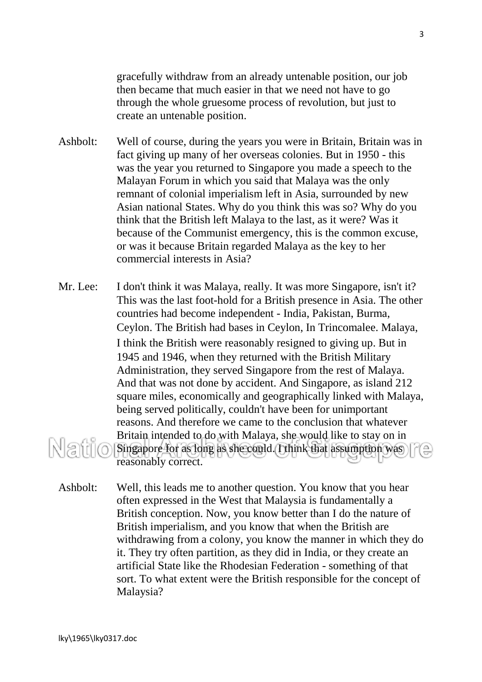gracefully withdraw from an already untenable position, our job then became that much easier in that we need not have to go through the whole gruesome process of revolution, but just to create an untenable position.

- Ashbolt: Well of course, during the years you were in Britain, Britain was in fact giving up many of her overseas colonies. But in 1950 - this was the year you returned to Singapore you made a speech to the Malayan Forum in which you said that Malaya was the only remnant of colonial imperialism left in Asia, surrounded by new Asian national States. Why do you think this was so? Why do you think that the British left Malaya to the last, as it were? Was it because of the Communist emergency, this is the common excuse, or was it because Britain regarded Malaya as the key to her commercial interests in Asia?
- Mr. Lee: I don't think it was Malaya, really. It was more Singapore, isn't it? This was the last foot-hold for a British presence in Asia. The other countries had become independent - India, Pakistan, Burma, Ceylon. The British had bases in Ceylon, In Trincomalee. Malaya, I think the British were reasonably resigned to giving up. But in 1945 and 1946, when they returned with the British Military Administration, they served Singapore from the rest of Malaya. And that was not done by accident. And Singapore, as island 212 square miles, economically and geographically linked with Malaya, being served politically, couldn't have been for unimportant reasons. And therefore we came to the conclusion that whatever Britain intended to do with Malaya, she would like to stay on in Natio Singapore for as long as she could. I think that assumption was reasonably correct.
	- Ashbolt: Well, this leads me to another question. You know that you hear often expressed in the West that Malaysia is fundamentally a British conception. Now, you know better than I do the nature of British imperialism, and you know that when the British are withdrawing from a colony, you know the manner in which they do it. They try often partition, as they did in India, or they create an artificial State like the Rhodesian Federation - something of that sort. To what extent were the British responsible for the concept of Malaysia?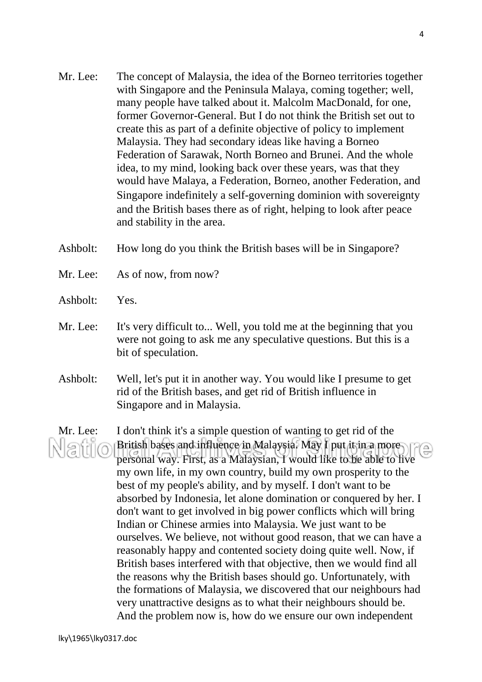- Mr. Lee: The concept of Malaysia, the idea of the Borneo territories together with Singapore and the Peninsula Malaya, coming together; well, many people have talked about it. Malcolm MacDonald, for one, former Governor-General. But I do not think the British set out to create this as part of a definite objective of policy to implement Malaysia. They had secondary ideas like having a Borneo Federation of Sarawak, North Borneo and Brunei. And the whole idea, to my mind, looking back over these years, was that they would have Malaya, a Federation, Borneo, another Federation, and Singapore indefinitely a self-governing dominion with sovereignty and the British bases there as of right, helping to look after peace and stability in the area.
- Ashbolt: How long do you think the British bases will be in Singapore?
- Mr. Lee: As of now, from now?
- Ashbolt: Yes.
- Mr. Lee: It's very difficult to... Well, you told me at the beginning that you were not going to ask me any speculative questions. But this is a bit of speculation.
- Ashbolt: Well, let's put it in another way. You would like I presume to get rid of the British bases, and get rid of British influence in Singapore and in Malaysia.

Mr. Lee: I don't think it's a simple question of wanting to get rid of the British bases and influence in Malaysia. May I put it in a more Natio personal way. First, as a Malaysian, I would like to be able to live my own life, in my own country, build my own prosperity to the best of my people's ability, and by myself. I don't want to be absorbed by Indonesia, let alone domination or conquered by her. I don't want to get involved in big power conflicts which will bring Indian or Chinese armies into Malaysia. We just want to be ourselves. We believe, not without good reason, that we can have a reasonably happy and contented society doing quite well. Now, if British bases interfered with that objective, then we would find all the reasons why the British bases should go. Unfortunately, with the formations of Malaysia, we discovered that our neighbours had very unattractive designs as to what their neighbours should be. And the problem now is, how do we ensure our own independent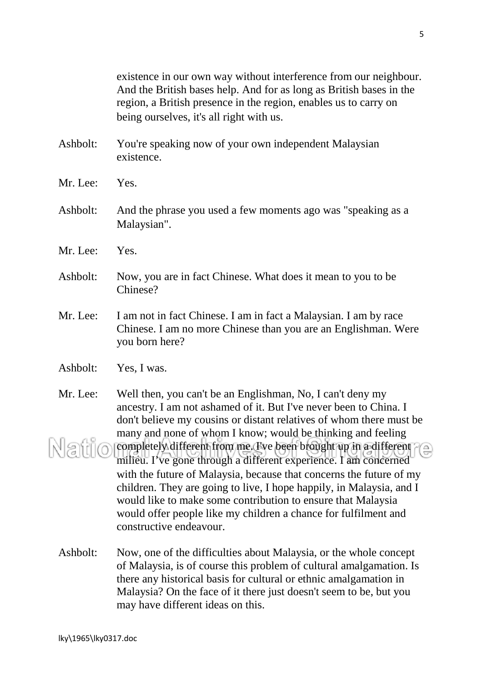existence in our own way without interference from our neighbour. And the British bases help. And for as long as British bases in the region, a British presence in the region, enables us to carry on being ourselves, it's all right with us.

- Ashbolt: You're speaking now of your own independent Malaysian existence.
- Mr. Lee: Yes.
- Ashbolt: And the phrase you used a few moments ago was "speaking as a Malaysian".
- Mr. Lee: Yes.
- Ashbolt: Now, you are in fact Chinese. What does it mean to you to be Chinese?
- Mr. Lee: I am not in fact Chinese. I am in fact a Malaysian. I am by race Chinese. I am no more Chinese than you are an Englishman. Were you born here?
- Ashbolt: Yes, I was.
- Mr. Lee: Well then, you can't be an Englishman, No, I can't deny my ancestry. I am not ashamed of it. But I've never been to China. I don't believe my cousins or distant relatives of whom there must be many and none of whom I know; would be thinking and feeling Natio completely different from me. I've been brought up in a different  $\sqrt{\triangle}$ milieu. I've gone through a different experience. I am concerned with the future of Malaysia, because that concerns the future of my children. They are going to live, I hope happily, in Malaysia, and I would like to make some contribution to ensure that Malaysia would offer people like my children a chance for fulfilment and constructive endeavour.
	- Ashbolt: Now, one of the difficulties about Malaysia, or the whole concept of Malaysia, is of course this problem of cultural amalgamation. Is there any historical basis for cultural or ethnic amalgamation in Malaysia? On the face of it there just doesn't seem to be, but you may have different ideas on this.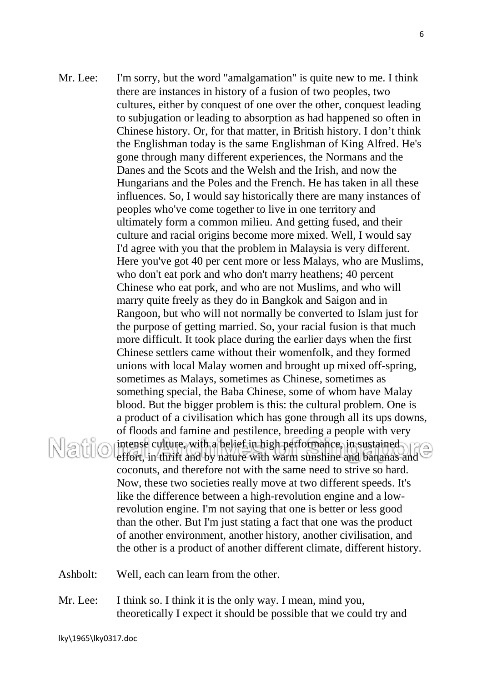- Mr. Lee: I'm sorry, but the word "amalgamation" is quite new to me. I think there are instances in history of a fusion of two peoples, two cultures, either by conquest of one over the other, conquest leading to subjugation or leading to absorption as had happened so often in Chinese history. Or, for that matter, in British history. I don't think the Englishman today is the same Englishman of King Alfred. He's gone through many different experiences, the Normans and the Danes and the Scots and the Welsh and the Irish, and now the Hungarians and the Poles and the French. He has taken in all these influences. So, I would say historically there are many instances of peoples who've come together to live in one territory and ultimately form a common milieu. And getting fused, and their culture and racial origins become more mixed. Well, I would say I'd agree with you that the problem in Malaysia is very different. Here you've got 40 per cent more or less Malays, who are Muslims, who don't eat pork and who don't marry heathens; 40 percent Chinese who eat pork, and who are not Muslims, and who will marry quite freely as they do in Bangkok and Saigon and in Rangoon, but who will not normally be converted to Islam just for the purpose of getting married. So, your racial fusion is that much more difficult. It took place during the earlier days when the first Chinese settlers came without their womenfolk, and they formed unions with local Malay women and brought up mixed off-spring, sometimes as Malays, sometimes as Chinese, sometimes as something special, the Baba Chinese, some of whom have Malay blood. But the bigger problem is this: the cultural problem. One is a product of a civilisation which has gone through all its ups downs, of floods and famine and pestilence, breeding a people with very intense culture, with a belief in high performance, in sustained Natio effort, in thrift and by nature with warm sunshine and bananas and coconuts, and therefore not with the same need to strive so hard. Now, these two societies really move at two different speeds. It's like the difference between a high-revolution engine and a lowrevolution engine. I'm not saying that one is better or less good than the other. But I'm just stating a fact that one was the product of another environment, another history, another civilisation, and the other is a product of another different climate, different history.
	- Ashbolt: Well, each can learn from the other.
	- Mr. Lee: I think so. I think it is the only way. I mean, mind you, theoretically I expect it should be possible that we could try and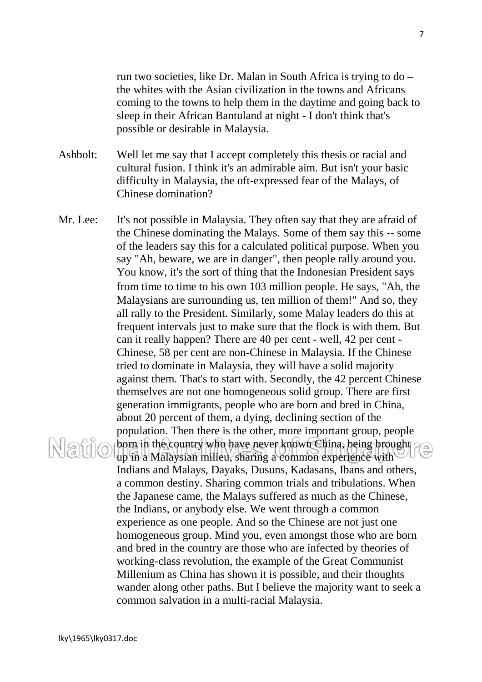run two societies, like Dr. Malan in South Africa is trying to do – the whites with the Asian civilization in the towns and Africans coming to the towns to help them in the daytime and going back to sleep in their African Bantuland at night - I don't think that's possible or desirable in Malaysia.

Ashbolt: Well let me say that I accept completely this thesis or racial and cultural fusion. I think it's an admirable aim. But isn't your basic difficulty in Malaysia, the oft-expressed fear of the Malays, of Chinese domination?

Mr. Lee: It's not possible in Malaysia. They often say that they are afraid of the Chinese dominating the Malays. Some of them say this -- some of the leaders say this for a calculated political purpose. When you say "Ah, beware, we are in danger", then people rally around you. You know, it's the sort of thing that the Indonesian President says from time to time to his own 103 million people. He says, "Ah, the Malaysians are surrounding us, ten million of them!" And so, they all rally to the President. Similarly, some Malay leaders do this at frequent intervals just to make sure that the flock is with them. But can it really happen? There are 40 per cent - well, 42 per cent - Chinese, 58 per cent are non-Chinese in Malaysia. If the Chinese tried to dominate in Malaysia, they will have a solid majority against them. That's to start with. Secondly, the 42 percent Chinese themselves are not one homogeneous solid group. There are first generation immigrants, people who are born and bred in China, about 20 percent of them, a dying, declining section of the population. Then there is the other, more important group, people born in the country who have never known China, being brought Natio up in a Malaysian milieu, sharing a common experience with Indians and Malays, Dayaks, Dusuns, Kadasans, Ibans and others, a common destiny. Sharing common trials and tribulations. When the Japanese came, the Malays suffered as much as the Chinese, the Indians, or anybody else. We went through a common experience as one people. And so the Chinese are not just one homogeneous group. Mind you, even amongst those who are born and bred in the country are those who are infected by theories of working-class revolution, the example of the Great Communist Millenium as China has shown it is possible, and their thoughts wander along other paths. But I believe the majority want to seek a common salvation in a multi-racial Malaysia.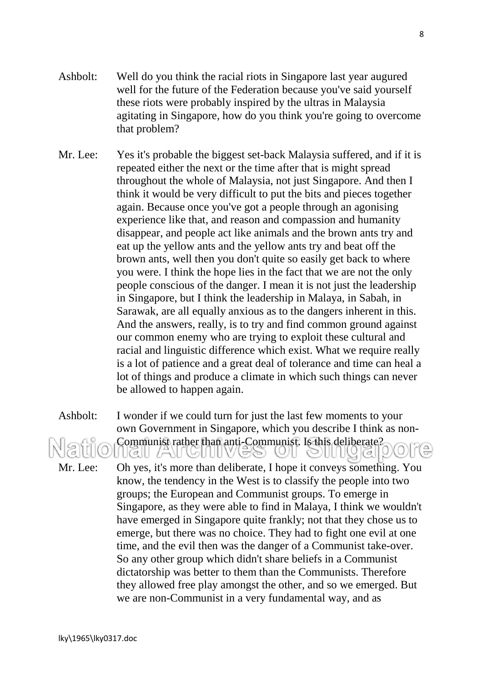- Ashbolt: Well do you think the racial riots in Singapore last year augured well for the future of the Federation because you've said yourself these riots were probably inspired by the ultras in Malaysia agitating in Singapore, how do you think you're going to overcome that problem?
- Mr. Lee: Yes it's probable the biggest set-back Malaysia suffered, and if it is repeated either the next or the time after that is might spread throughout the whole of Malaysia, not just Singapore. And then I think it would be very difficult to put the bits and pieces together again. Because once you've got a people through an agonising experience like that, and reason and compassion and humanity disappear, and people act like animals and the brown ants try and eat up the yellow ants and the yellow ants try and beat off the brown ants, well then you don't quite so easily get back to where you were. I think the hope lies in the fact that we are not the only people conscious of the danger. I mean it is not just the leadership in Singapore, but I think the leadership in Malaya, in Sabah, in Sarawak, are all equally anxious as to the dangers inherent in this. And the answers, really, is to try and find common ground against our common enemy who are trying to exploit these cultural and racial and linguistic difference which exist. What we require really is a lot of patience and a great deal of tolerance and time can heal a lot of things and produce a climate in which such things can never be allowed to happen again.

Ashbolt: I wonder if we could turn for just the last few moments to your own Government in Singapore, which you describe I think as non-Communist rather than anti-Communist. Is this deliberate? Mr. Lee: Oh yes, it's more than deliberate, I hope it conveys something. You know, the tendency in the West is to classify the people into two groups; the European and Communist groups. To emerge in Singapore, as they were able to find in Malaya, I think we wouldn't have emerged in Singapore quite frankly; not that they chose us to emerge, but there was no choice. They had to fight one evil at one time, and the evil then was the danger of a Communist take-over. So any other group which didn't share beliefs in a Communist dictatorship was better to them than the Communists. Therefore they allowed free play amongst the other, and so we emerged. But

we are non-Communist in a very fundamental way, and as

lky\1965\lky0317.doc